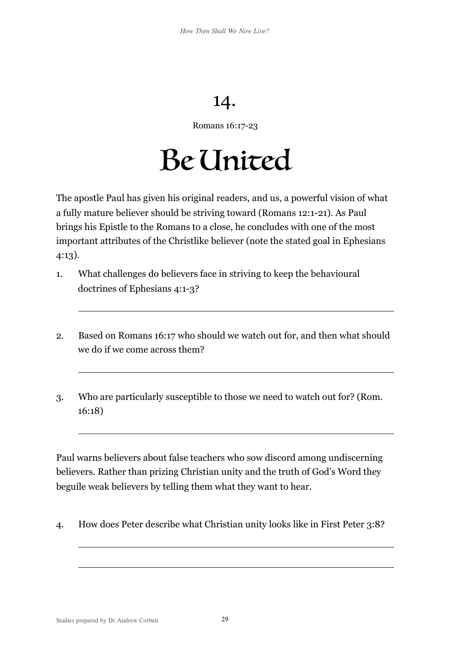## 14.

Romans 16:17-23

## Be United

The apostle Paul has given his original readers, and us, a powerful vision of what a fully mature believer should be striving toward (Romans 12:1-21). As Paul brings his Epistle to the Romans to a close, he concludes with one of the most important attributes of the Christlike believer (note the stated goal in Ephesians 4:13).

- 1. What challenges do believers face in striving to keep the behavioural doctrines of Ephesians 4:1-3?
- 2. Based on Romans 16:17 who should we watch out for, and then what should we do if we come across them?
- 3. Who are particularly susceptible to those we need to watch out for? (Rom. 16:18)

Paul warns believers about false teachers who sow discord among undiscerning believers. Rather than prizing Christian unity and the truth of God's Word they beguile weak believers by telling them what they want to hear.

4. How does Peter describe what Christian unity looks like in First Peter 3:8?

 $\overline{a}$ 

 $\overline{a}$ 

 $\overline{a}$ 

 $\overline{a}$